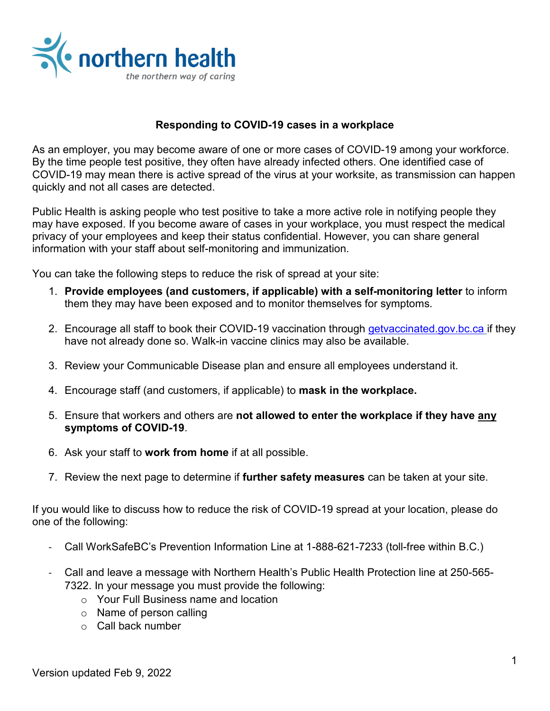

### **Responding to COVID-19 cases in a workplace**

As an employer, you may become aware of one or more cases of COVID-19 among your workforce. By the time people test positive, they often have already infected others. One identified case of COVID-19 may mean there is active spread of the virus at your worksite, as transmission can happen quickly and not all cases are detected.

Public Health is asking people who test positive to take a more active role in notifying people they may have exposed. If you become aware of cases in your workplace, you must respect the medical privacy of your employees and keep their status confidential. However, you can share general information with your staff about self-monitoring and immunization.

You can take the following steps to reduce the risk of spread at your site:

- 1. **Provide employees (and customers, if applicable) with a self-monitoring letter** to inform them they may have been exposed and to monitor themselves for symptoms.
- 2. Encourage all staff to book their COVID-19 vaccination through [getvaccinated.gov.bc.ca](https://www.getvaccinated.gov.bc.ca/s/) if they have not already done so. Walk-in vaccine clinics may also be available.
- 3. Review your Communicable Disease plan and ensure all employees understand it.
- 4. Encourage staff (and customers, if applicable) to **mask in the workplace.**
- 5. Ensure that workers and others are **not allowed to enter the workplace if they have any symptoms of COVID-19**.
- 6. Ask your staff to **work from home** if at all possible.
- 7. Review the next page to determine if **further safety measures** can be taken at your site.

If you would like to discuss how to reduce the risk of COVID-19 spread at your location, please do one of the following:

- Call WorkSafeBC's Prevention Information Line at 1-888-621-7233 (toll-free within B.C.)
- Call and leave a message with Northern Health's Public Health Protection line at 250-565- 7322. In your message you must provide the following:
	- o Your Full Business name and location
	- o Name of person calling
	- o Call back number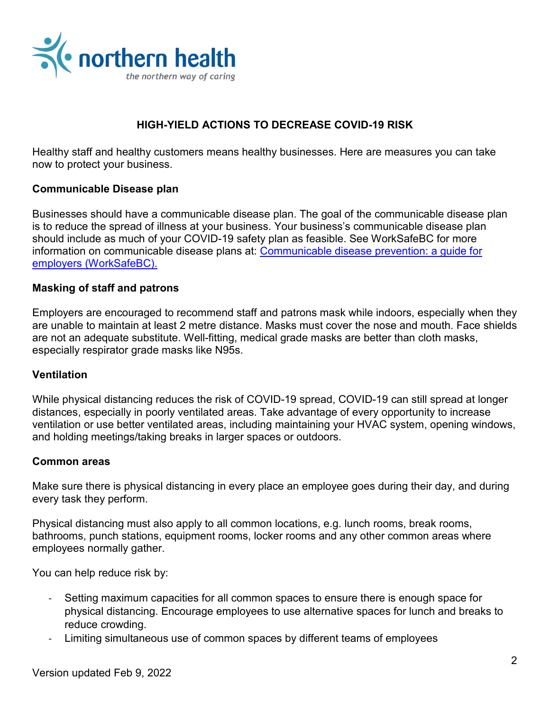

# **HIGH-YIELD ACTIONS TO DECREASE COVID-19 RISK**

Healthy staff and healthy customers means healthy businesses. Here are measures you can take now to protect your business.

# **Communicable Disease plan**

Businesses should have a communicable disease plan. The goal of the communicable disease plan is to reduce the spread of illness at your business. Your business's communicable disease plan should include as much of your COVID-19 safety plan as feasible. See WorkSafeBC for more information on communicable disease plans at: [Communicable disease prevention: a guide for](https://www.worksafebc.com/en/resources/health-safety/books-guides/communicable-disease-prevention-guide-employers?lang=en)  [employers \(WorkSafeBC\).](https://www.worksafebc.com/en/resources/health-safety/books-guides/communicable-disease-prevention-guide-employers?lang=en)

#### **Masking of staff and patrons**

Employers are encouraged to recommend staff and patrons mask while indoors, especially when they are unable to maintain at least 2 metre distance. Masks must cover the nose and mouth. Face shields are not an adequate substitute. Well-fitting, medical grade masks are better than cloth masks, especially respirator grade masks like N95s.

#### **Ventilation**

While physical distancing reduces the risk of COVID-19 spread, COVID-19 can still spread at longer distances, especially in poorly ventilated areas. Take advantage of every opportunity to increase ventilation or use better ventilated areas, including maintaining your HVAC system, opening windows, and holding meetings/taking breaks in larger spaces or outdoors.

#### **Common areas**

Make sure there is physical distancing in every place an employee goes during their day, and during every task they perform.

Physical distancing must also apply to all common locations, e.g. lunch rooms, break rooms, bathrooms, punch stations, equipment rooms, locker rooms and any other common areas where employees normally gather.

You can help reduce risk by:

- Setting maximum capacities for all common spaces to ensure there is enough space for physical distancing. Encourage employees to use alternative spaces for lunch and breaks to reduce crowding.
- Limiting simultaneous use of common spaces by different teams of employees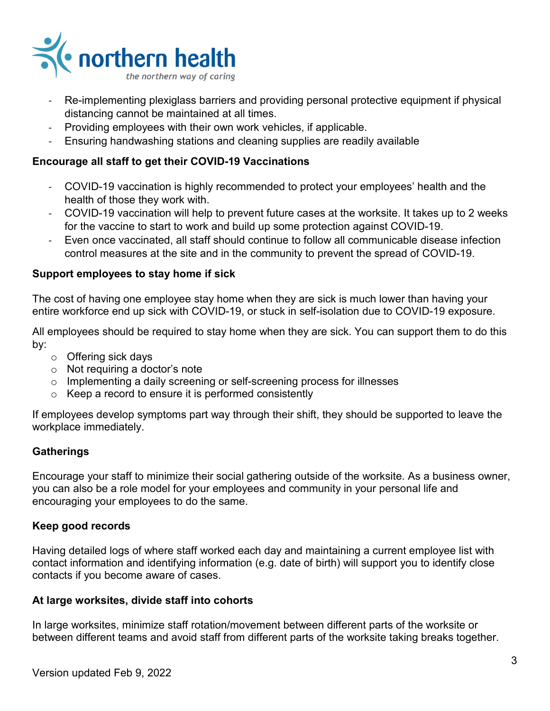

- Re-implementing plexiglass barriers and providing personal protective equipment if physical distancing cannot be maintained at all times.
- Providing employees with their own work vehicles, if applicable.
- Ensuring handwashing stations and cleaning supplies are readily available

### **Encourage all staff to get their COVID-19 Vaccinations**

- COVID-19 vaccination is highly recommended to protect your employees' health and the health of those they work with.
- COVID-19 vaccination will help to prevent future cases at the worksite. It takes up to 2 weeks for the vaccine to start to work and build up some protection against COVID-19.
- Even once vaccinated, all staff should continue to follow all communicable disease infection control measures at the site and in the community to prevent the spread of COVID-19.

#### **Support employees to stay home if sick**

The cost of having one employee stay home when they are sick is much lower than having your entire workforce end up sick with COVID-19, or stuck in self-isolation due to COVID-19 exposure.

All employees should be required to stay home when they are sick. You can support them to do this by:

- o Offering sick days
- o Not requiring a doctor's note
- o Implementing a daily screening or self-screening process for illnesses
- $\circ$  Keep a record to ensure it is performed consistently

If employees develop symptoms part way through their shift, they should be supported to leave the workplace immediately.

#### **Gatherings**

Encourage your staff to minimize their social gathering outside of the worksite. As a business owner, you can also be a role model for your employees and community in your personal life and encouraging your employees to do the same.

#### **Keep good records**

Having detailed logs of where staff worked each day and maintaining a current employee list with contact information and identifying information (e.g. date of birth) will support you to identify close contacts if you become aware of cases.

#### **At large worksites, divide staff into cohorts**

In large worksites, minimize staff rotation/movement between different parts of the worksite or between different teams and avoid staff from different parts of the worksite taking breaks together.